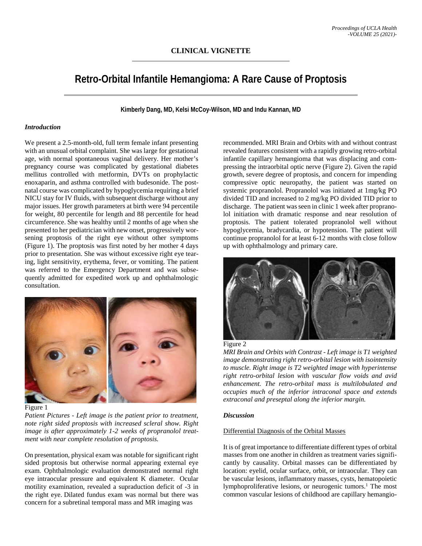# **Retro-Orbital Infantile Hemangioma: A Rare Cause of Proptosis**

**Kimberly Dang, MD, Kelsi McCoy-Wilson, MD and Indu Kannan, MD**

## *Introduction*

We present a 2.5-month-old, full term female infant presenting with an unusual orbital complaint. She was large for gestational age, with normal spontaneous vaginal delivery. Her mother's pregnancy course was complicated by gestational diabetes mellitus controlled with metformin, DVTs on prophylactic enoxaparin, and asthma controlled with budesonide. The postnatal course was complicated by hypoglycemia requiring a brief NICU stay for IV fluids, with subsequent discharge without any major issues. Her growth parameters at birth were 94 percentile for weight, 80 percentile for length and 88 percentile for head circumference. She was healthy until 2 months of age when she presented to her pediatrician with new onset, progressively worsening proptosis of the right eye without other symptoms (Figure 1). The proptosis was first noted by her mother 4 days prior to presentation. She was without excessive right eye tearing, light sensitivity, erythema, fever, or vomiting. The patient was referred to the Emergency Department and was subsequently admitted for expedited work up and ophthalmologic consultation.



Figure 1

*Patient Pictures - Left image is the patient prior to treatment, note right sided proptosis with increased scleral show. Right image is after approximately 1-2 weeks of propranolol treatment with near complete resolution of proptosis.*

On presentation, physical exam was notable for significant right sided proptosis but otherwise normal appearing external eye exam. Ophthalmologic evaluation demonstrated normal right eye intraocular pressure and equivalent K diameter. Ocular motility examination, revealed a supraduction deficit of -3 in the right eye. Dilated fundus exam was normal but there was concern for a subretinal temporal mass and MR imaging was

recommended. MRI Brain and Orbits with and without contrast revealed features consistent with a rapidly growing retro-orbital infantile capillary hemangioma that was displacing and compressing the intraorbital optic nerve (Figure 2). Given the rapid growth, severe degree of proptosis, and concern for impending compressive optic neuropathy, the patient was started on systemic propranolol. Propranolol was initiated at 1mg/kg PO divided TID and increased to 2 mg/kg PO divided TID prior to discharge. The patient was seen in clinic 1 week after propranolol initiation with dramatic response and near resolution of proptosis. The patient tolerated propranolol well without hypoglycemia, bradycardia, or hypotension. The patient will continue propranolol for at least 6-12 months with close follow up with ophthalmology and primary care.





*MRI Brain and Orbits with Contrast - Left image is T1 weighted image demonstrating right retro-orbital lesion with isointensity to muscle. Right image is T2 weighted image with hyperintense right retro-orbital lesion with vascular flow voids and avid enhancement. The retro-orbital mass is multilobulated and occupies much of the inferior intraconal space and extends extraconal and preseptal along the inferior margin.*

### *Discussion*

### Differential Diagnosis of the Orbital Masses

It is of great importance to differentiate different types of orbital masses from one another in children as treatment varies significantly by causality. Orbital masses can be differentiated by location: eyelid, ocular surface, orbit, or intraocular. They can be vascular lesions, inflammatory masses, cysts, hematopoietic lymphoproliferative lesions, or neurogenic tumors.<sup>1</sup> The most common vascular lesions of childhood are capillary hemangio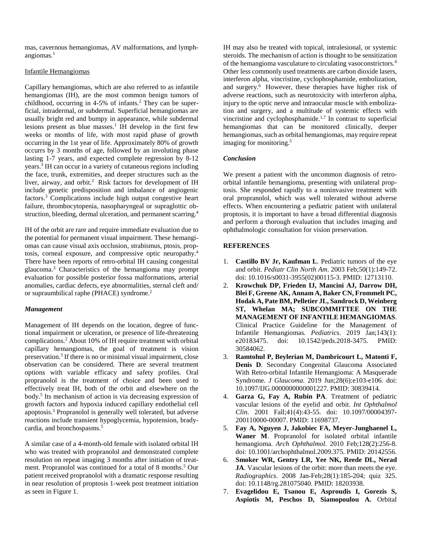mas, cavernous hemangiomas, AV malformations, and lymphangiomas. $<sup>1</sup>$ </sup>

## Infantile Hemangiomas

Capillary hemangiomas, which are also referred to as infantile hemangiomas (IH), are the most common benign tumors of childhood, occurring in 4-5% of infants.2 They can be superficial, intradermal, or subdermal. Superficial hemangiomas are usually bright red and bumpy in appearance, while subdermal lesions present as blue masses.<sup>1</sup> IH develop in the first few weeks or months of life, with most rapid phase of growth occurring in the 1st year of life. Approximately 80% of growth occurrs by 3 months of age, followed by an involuting phase lasting 1-7 years, and expected complete regression by 8-12 years.3 IH can occur in a variety of cutaneous regions including the face, trunk, extremities, and deeper structures such as the liver, airway, and orbit.<sup>2</sup> Risk factors for development of IH include genetic predisposition and imbalance of angiogenic factors.3 Complications include high output congestive heart failure, thrombocytopenia, nasopharyngeal or supraglottic obstruction, bleeding, dermal ulceration, and permanent scarring.4

IH of the orbit are rare and require immediate evaluation due to the potential for permanent visual impairment. These hemangiomas can cause visual axis occlusion, strabismus, ptosis, proptosis, corneal exposure, and compressive optic neuropathy.4 There have been reports of retro-orbital IH causing congenital glaucoma.3 Characteristics of the hemangioma may prompt evaluation for possible posterior fossa malformations, arterial anomalies, cardiac defects, eye abnormalities, sternal cleft and/ or supraumbilical raphe (PHACE) syndrome.2

# *Management*

Management of IH depends on the location, degree of functional impairment or ulceration, or presence of life-threatening complications.2 About 10% of IH require treatment with orbital capillary hemangiomas, the goal of treatment is vision preservation.3 If there is no or minimal visual impairment, close observation can be considered. There are several treatment options with variable efficacy and safety profiles. Oral propranolol is the treatment of choice and been used to effectively treat IH, both of the orbit and elsewhere on the body.5 Its mechanism of action is via decreasing expression of growth factors and hypoxia induced capillary endothelial cell apoptosis.3 Propranolol is generally well tolerated, but adverse reactions include transient hypoglycemia, hypotension, bradycardia, and bronchospasms.<sup>5</sup>

A similar case of a 4-month-old female with isolated orbital IH who was treated with propranolol and demonstrated complete resolution on repeat imaging 3 months after initiation of treatment. Propranolol was continued for a total of 8 months.<sup>5</sup> Our patient received propranolol with a dramatic response resulting in near resolution of proptosis 1-week post treatment initiation as seen in Figure 1.

IH may also be treated with topical, intralesional, or systemic steroids. The mechanism of action is thought to be sensitization of the hemangioma vasculature to circulating vasoconstrictors.4 Other less commonly used treatments are carbon dioxide lasers, interferon alpha, vincristine, cyclophosphamide, embolization, and surgery.6 However, these therapies have higher risk of adverse reactions, such as neurotoxicity with interferon alpha, injury to the optic nerve and intraocular muscle with embolization and surgery, and a multitude of systemic effects with vincristine and cyclophosphamide.<sup>1,7</sup> In contrast to superficial hemangiomas that can be monitored clinically, deeper hemangiomas, such as orbital hemangiomas, may require repeat imaging for monitoring.<sup>5</sup>

# *Conclusion*

We present a patient with the uncommon diagnosis of retroorbital infantile hemangioma, presenting with unilateral proptosis. She responded rapidly to a noninvasive treatment with oral propranolol, which was well tolerated without adverse effects. When encountering a pediatric patient with unilateral proptosis, it is important to have a broad differential diagnosis and perform a thorough evaluation that includes imaging and ophthalmologic consultation for vision preservation.

# **REFERENCES**

- 1. **Castillo BV Jr, Kaufman L**. Pediatric tumors of the eye and orbit. *Pediatr Clin North Am*. 2003 Feb;50(1):149-72. doi: 10.1016/s0031-3955(02)00115-3. PMID: 12713110.
- 2. **Krowchuk DP, Frieden IJ, Mancini AJ, Darrow DH, Blei F, Greene AK, Annam A, Baker CN, Frommelt PC, Hodak A, Pate BM, Pelletier JL, Sandrock D, Weinberg ST, Whelan MA; SUBCOMMITTEE ON THE MANAGEMENT OF INFANTILE HEMANGIOMAS**. Clinical Practice Guideline for the Management of Infantile Hemangiomas. *Pediatrics*. 2019 Jan;143(1): e20183475. doi: 10.1542/peds.2018-3475. PMID: 30584062.
- 3. **Ramtohul P, Beylerian M, Dambricourt L, Matonti F, Denis D**. Secondary Congenital Glaucoma Associated With Retro-orbital Infantile Hemangioma: A Masquerade Syndrome. *J Glaucoma.* 2019 Jun;28(6):e103-e106. doi: 10.1097/IJG.0000000000001227. PMID: 30839414.
- 4. **Garza G, Fay A, Rubin PA**. Treatment of pediatric vascular lesions of the eyelid and orbit. *Int Ophthalmol Clin*. 2001 Fall;41(4):43-55. doi: 10.1097/00004397- 200110000-00007. PMID: 11698737.
- 5. **Fay A, Nguyen J, Jakobiec FA, Meyer-Junghaenel L, Waner M**. Propranolol for isolated orbital infantile hemangioma. *Arch Ophthalmol*. 2010 Feb;128(2):256-8. doi: 10.1001/archophthalmol.2009.375. PMID: 20142556.
- 6. **Smoker WR, Gentry LR, Yee NK, Reede DL, Nerad JA**. Vascular lesions of the orbit: more than meets the eye. *Radiographics*. 2008 Jan-Feb;28(1):185-204; quiz 325. doi: 10.1148/rg.281075040. PMID: 18203938.
- 7. **Evagelidou E, Tsanou E, Asproudis I, Gorezis S, Aspiotis M, Peschos D, Siamopoulou A.** Orbital